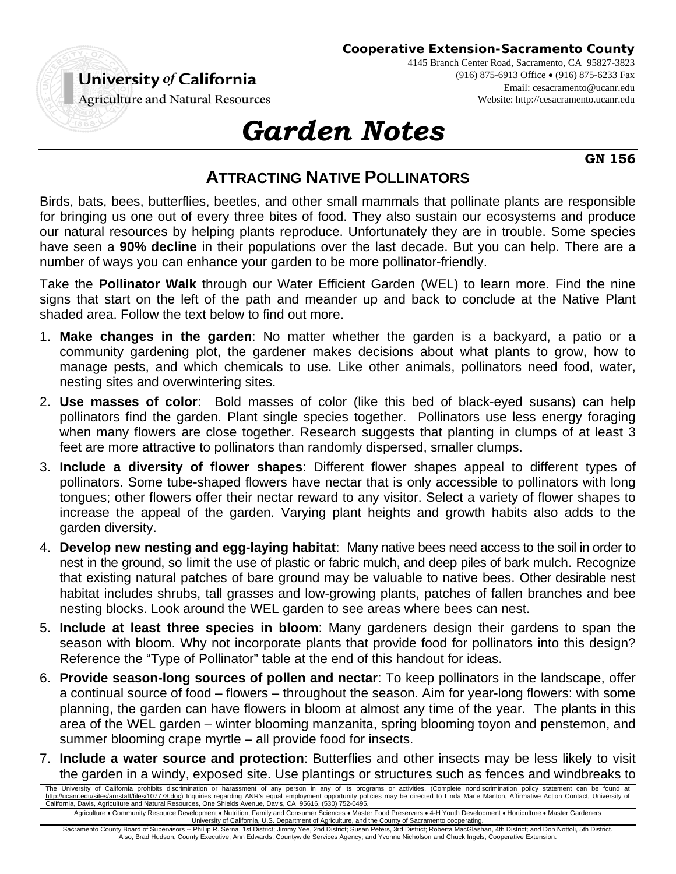

4145 Branch Center Road, Sacramento, CA 95827-3823 (916) 875-6913 Office (916) 875-6233 Fax Email: cesacramento@ucanr.edu Website: http://cesacramento.ucanr.edu

**Agriculture and Natural Resources** 

## *Garden Notes*

**GN 156** 

## **ATTRACTING NATIVE POLLINATORS**

Birds, bats, bees, butterflies, beetles, and other small mammals that pollinate plants are responsible for bringing us one out of every three bites of food. They also sustain our ecosystems and produce our natural resources by helping plants reproduce. Unfortunately they are in trouble. Some species have seen a **90% decline** in their populations over the last decade. But you can help. There are a number of ways you can enhance your garden to be more pollinator-friendly.

Take the **Pollinator Walk** through our Water Efficient Garden (WEL) to learn more. Find the nine signs that start on the left of the path and meander up and back to conclude at the Native Plant shaded area. Follow the text below to find out more.

- 1. **Make changes in the garden**: No matter whether the garden is a backyard, a patio or a community gardening plot, the gardener makes decisions about what plants to grow, how to manage pests, and which chemicals to use. Like other animals, pollinators need food, water, nesting sites and overwintering sites.
- 2. **Use masses of color**: Bold masses of color (like this bed of black-eyed susans) can help pollinators find the garden. Plant single species together. Pollinators use less energy foraging when many flowers are close together. Research suggests that planting in clumps of at least 3 feet are more attractive to pollinators than randomly dispersed, smaller clumps.
- 3. **Include a diversity of flower shapes**: Different flower shapes appeal to different types of pollinators. Some tube-shaped flowers have nectar that is only accessible to pollinators with long tongues; other flowers offer their nectar reward to any visitor. Select a variety of flower shapes to increase the appeal of the garden. Varying plant heights and growth habits also adds to the garden diversity.
- 4. **Develop new nesting and egg-laying habitat**: Many native bees need access to the soil in order to nest in the ground, so limit the use of plastic or fabric mulch, and deep piles of bark mulch. Recognize that existing natural patches of bare ground may be valuable to native bees. Other desirable nest habitat includes shrubs, tall grasses and low-growing plants, patches of fallen branches and bee nesting blocks. Look around the WEL garden to see areas where bees can nest.
- 5. **Include at least three species in bloom**: Many gardeners design their gardens to span the season with bloom. Why not incorporate plants that provide food for pollinators into this design? Reference the "Type of Pollinator" table at the end of this handout for ideas.
- 6. **Provide season-long sources of pollen and nectar**: To keep pollinators in the landscape, offer a continual source of food – flowers – throughout the season. Aim for year-long flowers: with some planning, the garden can have flowers in bloom at almost any time of the year. The plants in this area of the WEL garden – winter blooming manzanita, spring blooming toyon and penstemon, and summer blooming crape myrtle – all provide food for insects.
- 7. **Include a water source and protection**: Butterflies and other insects may be less likely to visit the garden in a windy, exposed site. Use plantings or structures such as fences and windbreaks to

Sacramento County Board of Supervisors -- Phillip R. Serna, 1st District; Jimmy Yee, 2nd District; Susan Peters, 3rd District; Roberta MacGlashan, 4th District; and Don Nottoli, 5th District. Also, Brad Hudson, County Executive; Ann Edwards, Countywide Services Agency; and Yvonne Nicholson and Chuck Ingels, Cooperative Extension.

The University of California prohibits discrimination or harassment of any person in any of its programs or activities. (Complete nondiscrimination policy statement can be found at http://ucanr.edu/sites/anrstaff/files/107778.doc) Inquiries regarding ANR's equal employment opportunity policies may be directed to Linda Marie Manton, Affirmative Action Contact, University of<br>California, Davis, Agricult